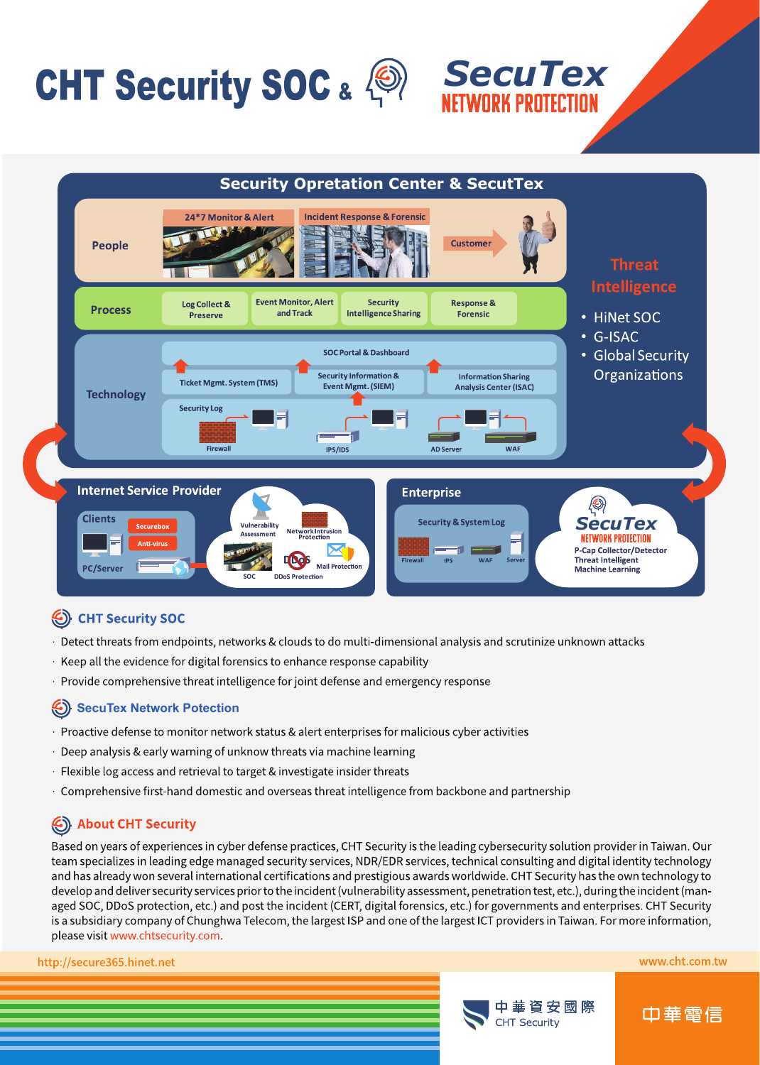# CHT Security SOC &  $\textcircled{3}$  SecuTex



## Security SOC

- · Detect threats from endpoints, networks & clouds to do multi-dimensional analysis and scrutinize unknown attacks
- · Keep all the evidence for digital forensics to enhance response capability
- · Provide comprehensive threat intelligence for joint defense and emergency response

### SecuTex Network Potection

- · Proactive defense to monitor network status & alert enterprises for malicious cyber activities
- · Deep analysis & early warning of unknow threats via machine learning
- · Flexible log access and retrieval to target & investigate insider threats
- · Comprehensive first-hand domestic and overseas threat intelligence from backbone and partnership

# About CHT Security

Based on years of experiences in cyber defense practices, CHT Security is the leading cybersecurity solution provider in Taiwan. Our team specializes in leading edge managed security services, NDR/EDR services, technical consulting and digital identity technology and has already won several international certifications and prestigious awards worldwide. CHT Security has the own technology to develop and deliver security services prior to the incident (vulnerability assessment, penetration test, etc.), during the incident (managed SOC, DDoS protection, etc.) and post the incident (CERT, digital forensics, etc.) for governments and enterprises. CHT Security is a subsidiary company of Chunghwa Telecom, the largest ISP and one of the largest ICT providers in Taiwan. For more information, please visit www.chtsecurity.com.

http://secure365.hinet.net



**WORK PROTECTION** 



www.cht.com.tw